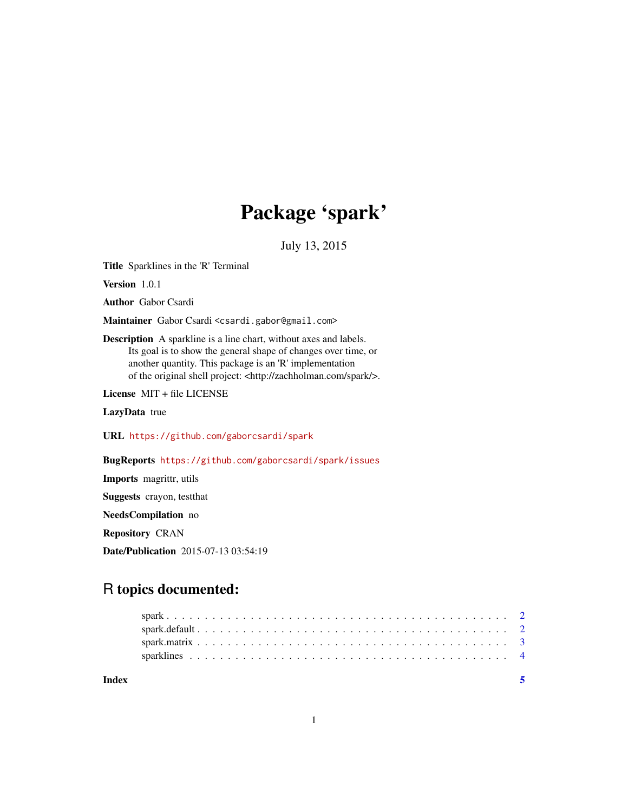## Package 'spark'

July 13, 2015

Title Sparklines in the 'R' Terminal

Version 1.0.1

Author Gabor Csardi

Maintainer Gabor Csardi <csardi.gabor@gmail.com>

Description A sparkline is a line chart, without axes and labels. Its goal is to show the general shape of changes over time, or another quantity. This package is an 'R' implementation of the original shell project: <http://zachholman.com/spark/>.

License MIT + file LICENSE

LazyData true

URL <https://github.com/gaborcsardi/spark>

BugReports <https://github.com/gaborcsardi/spark/issues>

Imports magrittr, utils Suggests crayon, testthat NeedsCompilation no Repository CRAN Date/Publication 2015-07-13 03:54:19

### R topics documented:

**Index** [5](#page-4-0). The second state of the second state of the second state of the second state of the second state of the second state of the second state of the second state of the second state of the second state of the second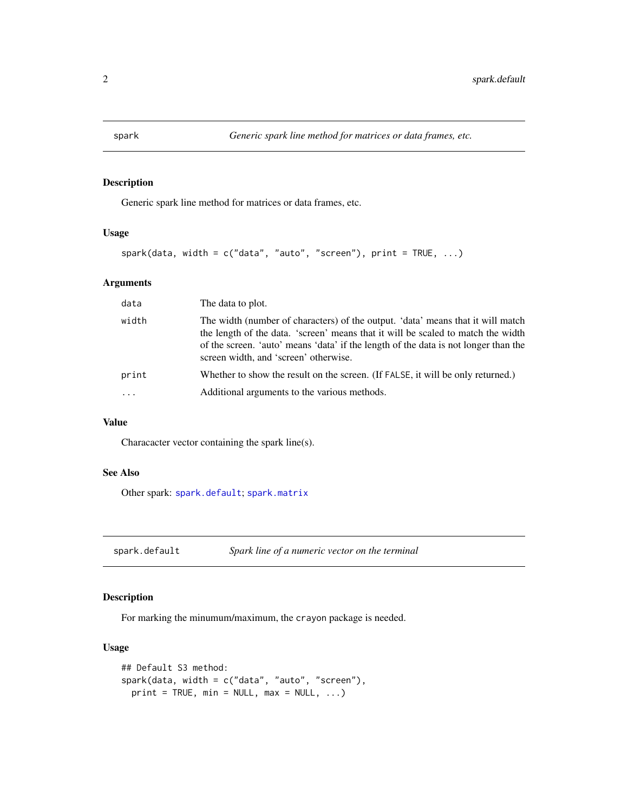<span id="page-1-2"></span><span id="page-1-0"></span>

#### Description

Generic spark line method for matrices or data frames, etc.

#### Usage

```
spark(data, width = c("data", "auto", "screen"), print = TRUE, ...)
```
#### Arguments

| data  | The data to plot.                                                                                                                                                                                                                                                                                   |
|-------|-----------------------------------------------------------------------------------------------------------------------------------------------------------------------------------------------------------------------------------------------------------------------------------------------------|
| width | The width (number of characters) of the output. 'data' means that it will match<br>the length of the data. 'screen' means that it will be scaled to match the width<br>of the screen. 'auto' means 'data' if the length of the data is not longer than the<br>screen width, and 'screen' otherwise. |
| print | Whether to show the result on the screen. (If FALSE, it will be only returned.)                                                                                                                                                                                                                     |
| .     | Additional arguments to the various methods.                                                                                                                                                                                                                                                        |
|       |                                                                                                                                                                                                                                                                                                     |

#### Value

Characacter vector containing the spark line(s).

#### See Also

Other spark: [spark.default](#page-1-1); [spark.matrix](#page-2-1)

<span id="page-1-1"></span>spark.default *Spark line of a numeric vector on the terminal*

#### Description

For marking the minumum/maximum, the crayon package is needed.

#### Usage

```
## Default S3 method:
spark(data, width = c("data", "auto", "screen"),
 print = TRUE, min = NULL, max = NULL, ...)
```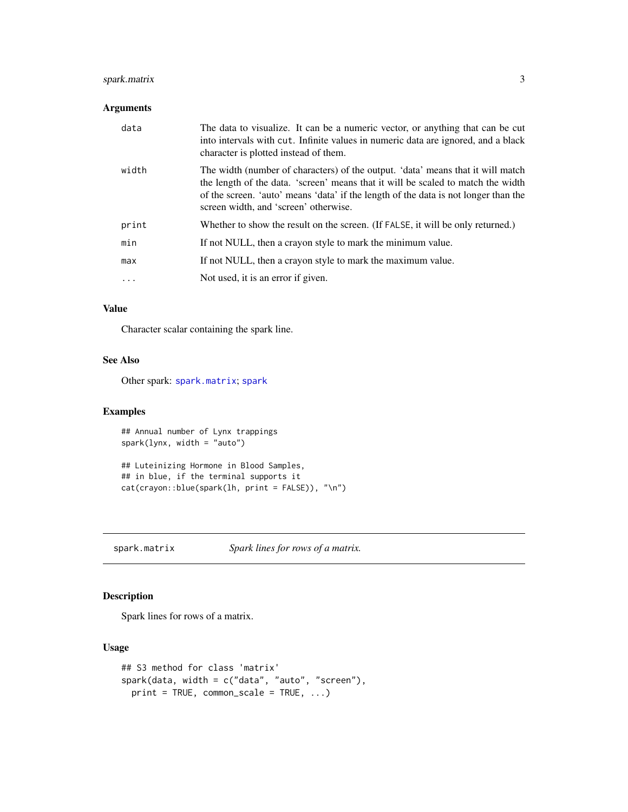#### <span id="page-2-0"></span>spark.matrix 3

#### Arguments

| data  | The data to visualize. It can be a numeric vector, or anything that can be cut<br>into intervals with cut. Infinite values in numeric data are ignored, and a black<br>character is plotted instead of them.                                                                                        |
|-------|-----------------------------------------------------------------------------------------------------------------------------------------------------------------------------------------------------------------------------------------------------------------------------------------------------|
| width | The width (number of characters) of the output. 'data' means that it will match<br>the length of the data. 'screen' means that it will be scaled to match the width<br>of the screen. 'auto' means 'data' if the length of the data is not longer than the<br>screen width, and 'screen' otherwise. |
| print | Whether to show the result on the screen. (If FALSE, it will be only returned.)                                                                                                                                                                                                                     |
| min   | If not NULL, then a crayon style to mark the minimum value.                                                                                                                                                                                                                                         |
| max   | If not NULL, then a crayon style to mark the maximum value.                                                                                                                                                                                                                                         |
| .     | Not used, it is an error if given.                                                                                                                                                                                                                                                                  |

#### Value

Character scalar containing the spark line.

#### See Also

Other spark: [spark.matrix](#page-2-1); [spark](#page-1-2)

#### Examples

## Annual number of Lynx trappings spark(lynx, width = "auto")

## Luteinizing Hormone in Blood Samples, ## in blue, if the terminal supports it cat(crayon::blue(spark(lh, print = FALSE)), "\n")

<span id="page-2-1"></span>spark.matrix *Spark lines for rows of a matrix.*

#### Description

Spark lines for rows of a matrix.

#### Usage

```
## S3 method for class 'matrix'
spark(data, width = c("data", "auto", "screen"),
 print = TRUE, common_scale = TRUE, ...)
```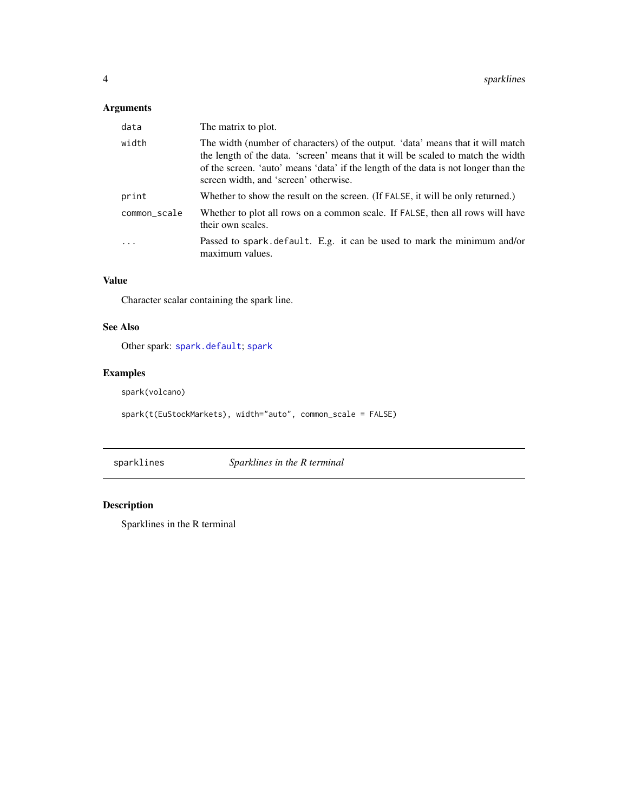#### <span id="page-3-0"></span>Arguments

| data         | The matrix to plot.                                                                                                                                                                                                                                                                                 |
|--------------|-----------------------------------------------------------------------------------------------------------------------------------------------------------------------------------------------------------------------------------------------------------------------------------------------------|
| width        | The width (number of characters) of the output. 'data' means that it will match<br>the length of the data. 'screen' means that it will be scaled to match the width<br>of the screen. 'auto' means 'data' if the length of the data is not longer than the<br>screen width, and 'screen' otherwise. |
| print        | Whether to show the result on the screen. (If FALSE, it will be only returned.)                                                                                                                                                                                                                     |
| common_scale | Whether to plot all rows on a common scale. If FALSE, then all rows will have<br>their own scales.                                                                                                                                                                                                  |
|              | Passed to spark default. E.g. it can be used to mark the minimum and/or<br>maximum values.                                                                                                                                                                                                          |

#### Value

Character scalar containing the spark line.

#### See Also

Other spark: [spark.default](#page-1-1); [spark](#page-1-2)

#### Examples

spark(volcano)

spark(t(EuStockMarkets), width="auto", common\_scale = FALSE)

sparklines *Sparklines in the R terminal*

#### Description

Sparklines in the R terminal